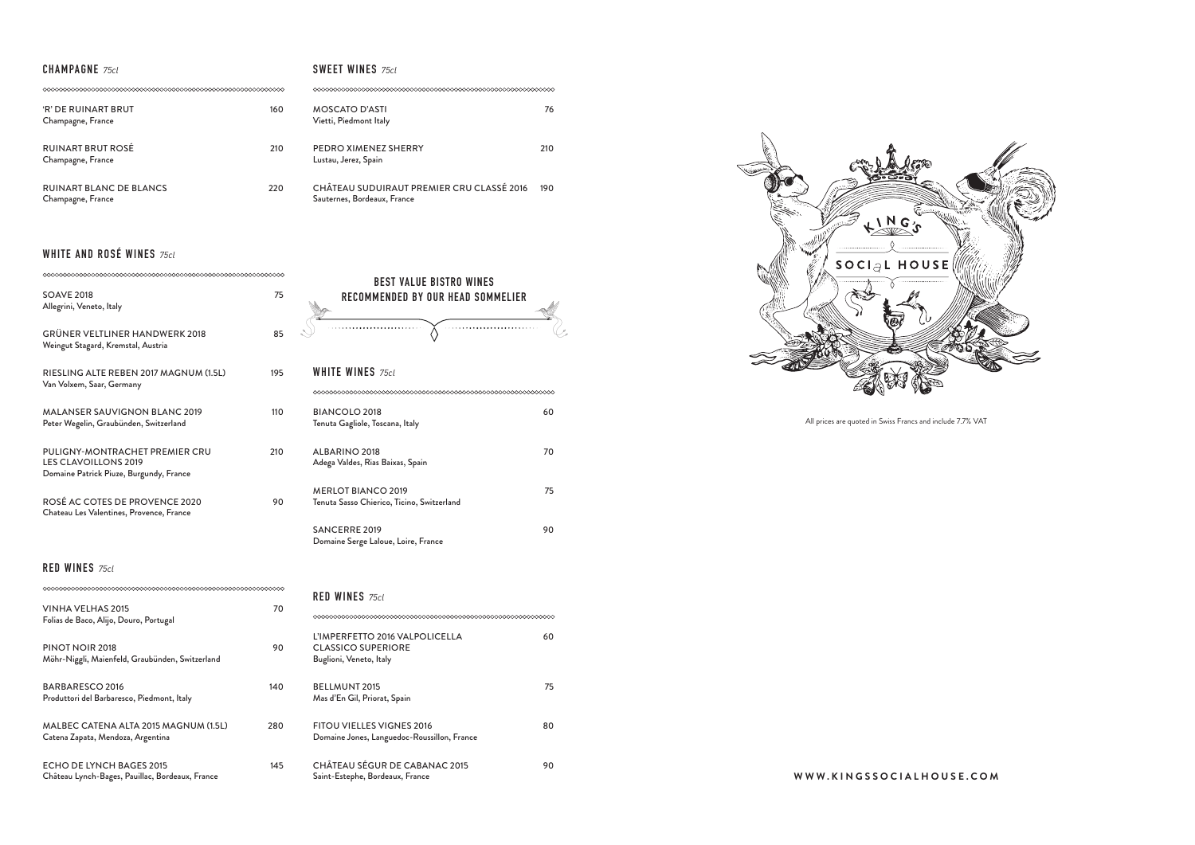#### **CHAMPAGNE** 75cl

## **WHITE AND ROSÉ WINES** 75cl

|                                                                                                          |     | ВE                                                                                         |
|----------------------------------------------------------------------------------------------------------|-----|--------------------------------------------------------------------------------------------|
| <b>SOAVE 2018</b><br>Allegrini, Veneto, Italy                                                            | 75  | <b>RECOMME</b>                                                                             |
| GRÜNER VELTLINER HANDWERK 2018<br>Weingut Stagard, Kremstal, Austria                                     | 85  |                                                                                            |
| RIESLING ALTE REBEN 2017 MAGNUM (1.5L)<br>Van Volxem, Saar, Germany                                      | 195 | <b>WHITE WINES 7</b><br>0000000000000000                                                   |
| <b>MALANSER SAUVIGNON BLANC 2019</b><br>Peter Wegelin, Graubünden, Switzerland                           | 110 | <b>BIANCOLO 2018</b><br>Tenuta Gagliole, Tos                                               |
| PULIGNY-MONTRACHET PREMIER CRU<br><b>LES CLAVOILLONS 2019</b><br>Domaine Patrick Piuze, Burgundy, France | 210 | ALBARINO 2018<br>Adega Valdes, Rias E                                                      |
| ROSÉ AC COTES DE PROVENCE 2020<br>Chateau Les Valentines, Provence, France                               | 90  | <b>MERLOT BIANCC</b><br>Tenuta Sasso Chierio<br><b>SANCERRE 2019</b><br>Domaine Serge Lalo |
| <b>RED WINES 75cl</b>                                                                                    |     |                                                                                            |
| <b>VINHA VELHAS 2015</b><br>Folias de Baco, Alijo, Douro, Portugal                                       | 70  | <b>RED WINES 75cl</b><br>000000000000000000                                                |
| PINOT NOIR 2018<br>Möhr-Niggli, Maienfeld, Graubünden, Switzerland                                       | 90  | L'IMPERFETTO 20<br><b>CLASSICO SUPEI</b><br>Buglioni, Veneto, Ita                          |

| <b>'R' DE RUINART BRUT</b><br>Champagne, France     | 160 | MOSCATO D'ASTI<br>Vietti, Piedmont Italy                                 | 76  |
|-----------------------------------------------------|-----|--------------------------------------------------------------------------|-----|
| <b>RUINART BRUT ROSÉ</b><br>Champagne, France       | 210 | PEDRO XIMENEZ SHERRY<br>Lustau, Jerez, Spain                             | 210 |
| <b>RUINART BLANC DE BLANCS</b><br>Champagne, France | 220 | CHÂTEAU SUDUIRAUT PREMIER CRU CLASSÉ 2016<br>Sauternes, Bordeaux, France | 190 |

| BARBARESCO 2016<br>Produttori del Barbaresco, Piedmont, Italy              | 140 |
|----------------------------------------------------------------------------|-----|
| MALBEC CATENA ALTA 2015 MAGNUM (1.5L)<br>Catena Zapata, Mendoza, Argentina | 280 |
| ECHO DE LYNCH BAGES 2015                                                   | 45  |

Château Lynch-Bages, Pauillac, Bordeaux, France

#### **SWEET WINES** 75cl

| <b>WHITE WINES</b> 75cl                                                 |    |
|-------------------------------------------------------------------------|----|
|                                                                         |    |
| BIANCOLO 2018<br>Tenuta Gagliole, Toscana, Italy                        | 60 |
| ALBARINO 2018<br>Adega Valdes, Rias Baixas, Spain                       | 70 |
| <b>MERLOT BIANCO 2019</b><br>Tenuta Sasso Chierico, Ticino, Switzerland | 75 |
| SANCERRE 2019<br>Domaine Serge Laloue, Loire, France                    | 90 |

| RED WINES $75c1$                                                                       |    |
|----------------------------------------------------------------------------------------|----|
|                                                                                        |    |
| L'IMPERFETTO 2016 VALPOLICELLA<br><b>CLASSICO SUPERIORE</b><br>Buglioni, Veneto, Italy | 60 |
| <b>BELLMUNT 2015</b><br>Mas d'En Gil, Priorat, Spain                                   | 75 |
| <b>FITOU VIELLES VIGNES 2016</b><br>Domaine Jones, Languedoc-Roussillon, France        | 80 |
| <b>CHÂTEAU SÉGUR DE CABANAC 2015</b>                                                   |    |

 $R_{1}M_{2}G_{3}$ SOCIAL HOUSE

Saint-Estephe, Bordeaux, France **WWW.KINGSSOCIALHOUSE.COM**



All prices are quoted in Swiss Francs and include 7.7% VAT

| <b>BEST VALUE BISTRO WINES</b>    |  |
|-----------------------------------|--|
| RECOMMENDED BY OUR HEAD SOMMELIER |  |
|                                   |  |
|                                   |  |